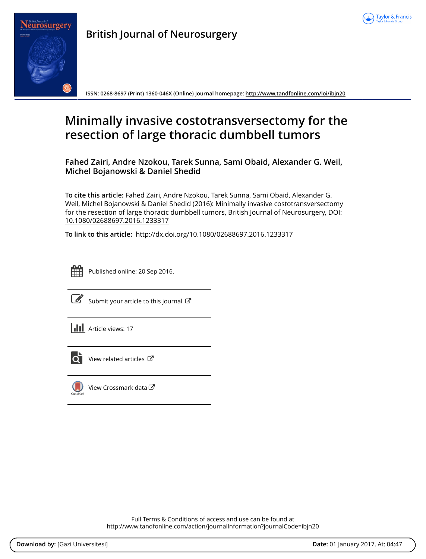



**British Journal of Neurosurgery**

**ISSN: 0268-8697 (Print) 1360-046X (Online) Journal homepage: <http://www.tandfonline.com/loi/ibjn20>**

# **Minimally invasive costotransversectomy for the resection of large thoracic dumbbell tumors**

**Fahed Zairi, Andre Nzokou, Tarek Sunna, Sami Obaid, Alexander G. Weil, Michel Bojanowski & Daniel Shedid**

**To cite this article:** Fahed Zairi, Andre Nzokou, Tarek Sunna, Sami Obaid, Alexander G. Weil, Michel Bojanowski & Daniel Shedid (2016): Minimally invasive costotransversectomy for the resection of large thoracic dumbbell tumors, British Journal of Neurosurgery, DOI: [10.1080/02688697.2016.1233317](http://www.tandfonline.com/action/showCitFormats?doi=10.1080/02688697.2016.1233317)

**To link to this article:** <http://dx.doi.org/10.1080/02688697.2016.1233317>



Published online: 20 Sep 2016.



 $\overrightarrow{S}$  [Submit your article to this journal](http://www.tandfonline.com/action/authorSubmission?journalCode=ibjn20&show=instructions)  $\overrightarrow{S}$ 





 $\overrightarrow{Q}$  [View related articles](http://www.tandfonline.com/doi/mlt/10.1080/02688697.2016.1233317)  $\overrightarrow{C}$ 



 $\bigcirc$  [View Crossmark data](http://crossmark.crossref.org/dialog/?doi=10.1080/02688697.2016.1233317&domain=pdf&date_stamp=2016-09-20) $\mathbb{Z}$ 

Full Terms & Conditions of access and use can be found at <http://www.tandfonline.com/action/journalInformation?journalCode=ibjn20>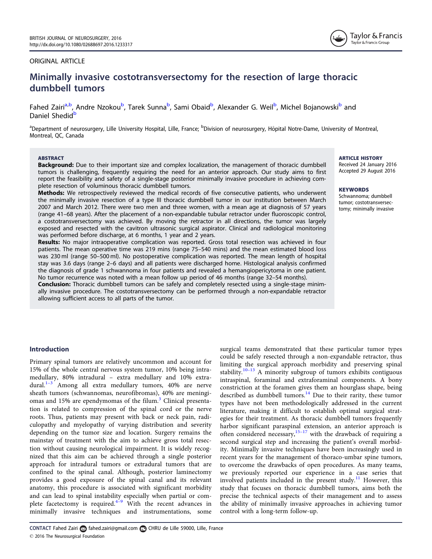## <span id="page-1-0"></span>ORIGINAL ARTICLE



# Minimally invasive costotransversectomy for the resection of large thoracic dumbbell tumors

Fahed Zairi<sup>a,b</sup>, Andre Nzokou<sup>b</sup>, Tarek Sunna<sup>b</sup>, Sami Obaid<sup>b</sup>, Alexander G. Weil<sup>b</sup>, Michel Bojanowski<sup>b</sup> and Daniel Shedid<sup>b</sup>

<sup>a</sup>Department of neurosurgery, Lille University Hospital, Lille, France; <sup>b</sup>Division of neurosurgery, Hôpital Notre-Dame, University of Montreal, Montreal, QC, Canada

#### **ARSTRACT**

**Background:** Due to their important size and complex localization, the management of thoracic dumbbell tumors is challenging, frequently requiring the need for an anterior approach. Our study aims to first report the feasibility and safety of a single-stage posterior minimally invasive procedure in achieving complete resection of voluminous thoracic dumbbell tumors.

Methods: We retrospectively reviewed the medical records of five consecutive patients, who underwent the minimally invasive resection of a type III thoracic dumbbell tumor in our institution between March 2007 and March 2012. There were two men and three women, with a mean age at diagnosis of 57 years (range 41–68 years). After the placement of a non-expandable tubular retractor under fluoroscopic control, a costotransversectomy was achieved. By moving the retractor in all directions, the tumor was largely exposed and resected with the cavitron ultrasonic surgical aspirator. Clinical and radiological monitoring was performed before discharge, at 6 months, 1 year and 2 years.

Results: No major intraoperative complication was reported. Gross total resection was achieved in four patients. The mean operative time was 219 mins (range 75–540 mins) and the mean estimated blood loss was 230 ml (range 50–500 ml). No postoperative complication was reported. The mean length of hospital stay was 3.6 days (range 2–6 days) and all patients were discharged home. Histological analysis confirmed the diagnosis of grade 1 schwannoma in four patients and revealed a hemangiopericytoma in one patient. No tumor recurrence was noted with a mean follow up period of 46 months (range 32–54 months).

**Conclusion:** Thoracic dumbbell tumors can be safely and completely resected using a single-stage minimally invasive procedure. The costotransversectomy can be performed through a non-expandable retractor allowing sufficient access to all parts of the tumor.

#### ARTICLE HISTORY

Received 24 January 2016 Accepted 29 August 2016

#### **KEYWORDS**

Schwannoma; dumbbell tumor; costotransversectomy; minimally invasive

# Introduction

Primary spinal tumors are relatively uncommon and account for 15% of the whole central nervous system tumor, 10% being intramedullary, 80% intradural – extra medullary and 10% extradural.<sup>1-3</sup> Among all extra medullary tumors, 40% are nerve sheath tumors (schwannomas, neurofibromas), 40% are meningi-omas and 15% are ependymomas of the filum.<sup>[3](#page-5-0)</sup> Clinical presentation is related to compression of the spinal cord or the nerve roots. Thus, patients may present with back or neck pain, radiculopathy and myelopathy of varying distribution and severity depending on the tumor size and location. Surgery remains the mainstay of treatment with the aim to achieve gross total resection without causing neurological impairment. It is widely recognized that this aim can be achieved through a single posterior approach for intradural tumors or extradural tumors that are confined to the spinal canal. Although, posterior laminectomy provides a good exposure of the spinal canal and its relevant anatomy, this procedure is associated with significant morbidity and can lead to spinal instability especially when partial or complete facetectomy is required. $4-9$  With the recent advances in minimally invasive techniques and instrumentations, some

surgical teams demonstrated that these particular tumor types could be safely resected through a non-expandable retractor, thus limiting the surgical approach morbidity and preserving spinal stability.[10](#page-5-0)–<sup>13</sup> A minority subgroup of tumors exhibits contiguous intraspinal, foraminal and extraforaminal components. A bony constriction at the foramen gives them an hourglass shape, being described as dumbbell tumors.<sup>[14](#page-5-0)</sup> Due to their rarity, these tumor types have not been methodologically addressed in the current literature, making it difficult to establish optimal surgical strategies for their treatment. As thoracic dumbbell tumors frequently harbor significant paraspinal extension, an anterior approach is often considered necessary,  $15-17$  $15-17$  with the drawback of requiring a second surgical step and increasing the patient's overall morbidity. Minimally invasive techniques have been increasingly used in recent years for the management of thoraco-umbar spine tumors, to overcome the drawbacks of open procedures. As many teams, we previously reported our experience in a case series that involved patients included in the present study.<sup>[11](#page-5-0)</sup> However, this study that focuses on thoracic dumbbell tumors, aims both the precise the technical aspects of their management and to assess the ability of minimally invasive approaches in achieving tumor control with a long-term follow-up.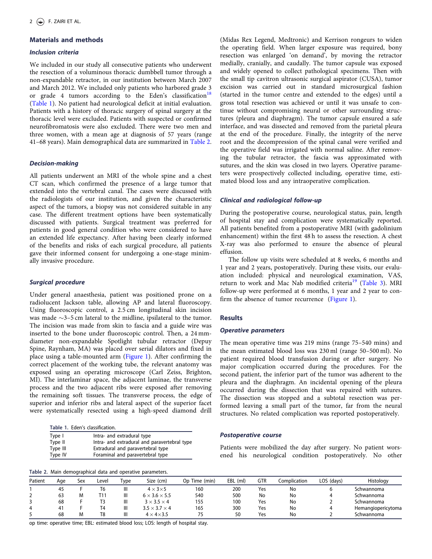## <span id="page-2-0"></span>Materials and methods

#### Inclusion criteria

We included in our study all consecutive patients who underwent the resection of a voluminous thoracic dumbbell tumor through a non-expandable retractor, in our institution between March 2007 and March 2012. We included only patients who harbored grade 3 or grade 4 tumors according to the Eden's classification<sup>18</sup> (Table 1). No patient had neurological deficit at initial evaluation. Patients with a history of thoracic surgery of spinal surgery at the thoracic level were excluded. Patients with suspected or confirmed neurofibromatosis were also excluded. There were two men and three women, with a mean age at diagnosis of 57 years (range 41–68 years). Main demographical data are summarized in Table 2.

#### Decision-making

All patients underwent an MRI of the whole spine and a chest CT scan, which confirmed the presence of a large tumor that extended into the vertebral canal. The cases were discussed with the radiologists of our institution, and given the characteristic aspect of the tumors, a biopsy was not considered suitable in any case. The different treatment options have been systematically discussed with patients. Surgical treatment was preferred for patients in good general condition who were considered to have an extended life expectancy. After having been clearly informed of the benefits and risks of each surgical procedure, all patients gave their informed consent for undergoing a one-stage minimally invasive procedure.

#### Surgical procedure

Under general anaesthesia, patient was positioned prone on a radiolucent Jackson table, allowing AP and lateral fluoroscopy. Using fluoroscopic control, a 2.5 cm longitudinal skin incision was made  $\sim$ 3–5 cm lateral to the midline, ipsilateral to the tumor. The incision was made from skin to fascia and a guide wire was inserted to the bone under fluoroscopic control. Then, a 24 mmdiameter non-expandable Spotlight tubular retractor (Depuy Spine, Raynham, MA) was placed over serial dilators and fixed in place using a table-mounted arm ([Figure 1](#page-3-0)). After confirming the correct placement of the working tube, the relevant anatomy was exposed using an operating microscope (Carl Zeiss, Brighton, MI). The interlaminar space, the adjacent laminae, the transverse process and the two adjacent ribs were exposed after removing the remaining soft tissues. The transverse process, the edge of superior and inferior ribs and lateral aspect of the superior facet were systematically resected using a high-speed diamond drill

Table 1. Eden's classification.

| Type I   | Intra- and extradural type                   |
|----------|----------------------------------------------|
| Type II  | Intra- and extradural and paravertebral type |
| Type III | Extradural and paravertebral type            |
| Type IV  | Foraminal and paravertebral type             |

Table 2. Main demographical data and operative parameters.

(Midas Rex Legend, Medtronic) and Kerrison rongeurs to widen the operating field. When larger exposure was required, bony resection was enlarged 'on demand', by moving the retractor medially, cranially, and caudally. The tumor capsule was exposed and widely opened to collect pathological specimens. Then with the small tip cavitron ultrasonic surgical aspirator (CUSA), tumor excision was carried out in standard microsurgical fashion (started in the tumor centre and extended to the edges) until a gross total resection was achieved or until it was unsafe to continue without compromising neural or other surrounding structures (pleura and diaphragm). The tumor capsule ensured a safe interface, and was dissected and removed from the parietal pleura at the end of the procedure. Finally, the integrity of the nerve root and the decompression of the spinal canal were verified and the operative field was irrigated with normal saline. After removing the tubular retractor, the fascia was approximated with sutures, and the skin was closed in two layers. Operative parameters were prospectively collected including, operative time, estimated blood loss and any intraoperative complication.

#### Clinical and radiological follow-up

During the postoperative course, neurological status, pain, length of hospital stay and complication were systematically reported. All patients benefited from a postoperative MRI (with gadolinium enhancement) within the first 48 h to assess the resection. A chest X-ray was also performed to ensure the absence of pleural effusion.

The follow up visits were scheduled at 8 weeks, 6 months and 1 year and 2 years, postoperatively. During these visits, our evaluation included: physical and neurological examination, VAS, return to work and Mac Nab modified criteria<sup>[19](#page-5-0)</sup> (Table 3). MRI follow-up were performed at 6 months, 1 year and 2 year to confirm the absence of tumor recurrence [\(Figure 1](#page-3-0)).

#### **Results**

#### Operative parameters

The mean operative time was 219 mins (range 75–540 mins) and the mean estimated blood loss was 230 ml (range 50–500 ml). No patient required blood transfusion during or after surgery. No major complication occurred during the procedures. For the second patient, the inferior part of the tumor was adherent to the pleura and the diaphragm. An incidental opening of the pleura occurred during the dissection that was repaired with sutures. The dissection was stopped and a subtotal resection was performed leaving a small part of the tumor, far from the neural structures. No related complication was reported postoperatively.

#### Postoperative course

Patients were mobilized the day after surgery. No patient worsened his neurological condition postoperatively. No other

|         | $1.0001$ and the compact of the contract of the contract of the contract of the contract of the contract of the contract of the contract of the contract of the contract of the contract of the contract of the contract of t |     |       |            |                           |                  |          |            |              |            |                    |  |
|---------|-------------------------------------------------------------------------------------------------------------------------------------------------------------------------------------------------------------------------------|-----|-------|------------|---------------------------|------------------|----------|------------|--------------|------------|--------------------|--|
| Patient | Age                                                                                                                                                                                                                           | Sex | Level | <b>ype</b> | Size (cm)                 | Time (min)<br>Op | EBL (ml) | <b>GTR</b> | Complication | LOS (days) | Histology          |  |
|         | 45                                                                                                                                                                                                                            |     | T6    | Ш          | $4 \times 3 \times 5$     | 160              | 200      | Yes        | No           |            | Schwannoma         |  |
|         | 63                                                                                                                                                                                                                            | м   | T11   | Ш          | $6 \times 3.6 \times 5.5$ | 540              | 500      | No         | No           |            | Schwannoma         |  |
|         | 68                                                                                                                                                                                                                            |     |       | Ш          | $3 \times 3.5 \times 4$   | 155              | 100      | Yes        | No           |            | Schwannoma         |  |
| 4       | 41                                                                                                                                                                                                                            |     | T4    | Ш          | $3.5 \times 3.7 \times 4$ | 165              | 300      | Yes        | No           |            | Hemangiopericytoma |  |
|         | 68                                                                                                                                                                                                                            | М   | T8    | Ш          | $4 \times 4 \times 3.5$   | 75               | 50       | Yes        | No           |            | Schwannoma         |  |

op time: operative time; EBL: estimated blood loss; LOS: length of hospital stay.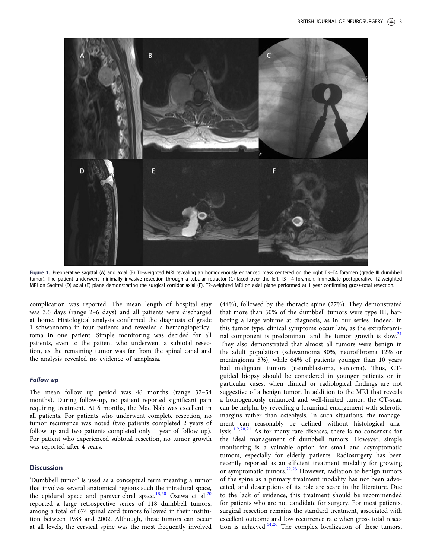<span id="page-3-0"></span>

Figure 1. Preoperative sagittal (A) and axial (B) T1-weighted MRI revealing an homogenously enhanced mass centered on the right T3–T4 foramen (grade III dumbbell tumor). The patient underwent minimally invasive resection through a tubular retractor (C) laced over the left T3–T4 foramen. Immediate postoperative T2-weighted MRI on Sagittal (D) axial (E) plane demonstrating the surgical corridor axial (F). T2-weighted MRI on axial plane performed at 1 year confirming gross-total resection.

complication was reported. The mean length of hospital stay was 3.6 days (range 2–6 days) and all patients were discharged at home. Histological analysis confirmed the diagnosis of grade 1 schwannoma in four patients and revealed a hemangiopericytoma in one patient. Simple monitoring was decided for all patients, even to the patient who underwent a subtotal resection, as the remaining tumor was far from the spinal canal and the analysis revealed no evidence of anaplasia.

#### Follow up

The mean follow up period was 46 months (range 32–54 months). During follow-up, no patient reported significant pain requiring treatment. At 6 months, the Mac Nab was excellent in all patients. For patients who underwent complete resection, no tumor recurrence was noted (two patients completed 2 years of follow up and two patients completed only 1 year of follow up). For patient who experienced subtotal resection, no tumor growth was reported after 4 years.

#### **Discussion**

'Dumbbell tumor' is used as a conceptual term meaning a tumor that involves several anatomical regions such the intradural space, the epidural space and paravertebral space.<sup>[18](#page-5-0),[20](#page-5-0)</sup> Ozawa et al.<sup>20</sup> reported a large retrospective series of 118 dumbbell tumors, among a total of 674 spinal cord tumors followed in their institution between 1988 and 2002. Although, these tumors can occur at all levels, the cervical spine was the most frequently involved

(44%), followed by the thoracic spine (27%). They demonstrated that more than 50% of the dumbbell tumors were type III, harboring a large volume at diagnosis, as in our series. Indeed, in this tumor type, clinical symptoms occur late, as the extraforaminal component is predominant and the tumor growth is slow.<sup>21</sup> They also demonstrated that almost all tumors were benign in the adult population (schwannoma 80%, neurofibroma 12% or meningioma 5%), while 64% of patients younger than 10 years had malignant tumors (neuroblastoma, sarcoma). Thus, CTguided biopsy should be considered in younger patients or in particular cases, when clinical or radiological findings are not suggestive of a benign tumor. In addition to the MRI that reveals a homogenously enhanced and well-limited tumor, the CT-scan can be helpful by revealing a foraminal enlargement with sclerotic margins rather than osteolysis. In such situations, the management can reasonably be defined without histological analysis.[1,2](#page-4-0),[20,21](#page-5-0) As for many rare diseases, there is no consensus for the ideal management of dumbbell tumors. However, simple monitoring is a valuable option for small and asymptomatic tumors, especially for elderly patients. Radiosurgery has been recently reported as an efficient treatment modality for growing or symptomatic tumors.<sup>[22,23](#page-5-0)</sup> However, radiation to benign tumors of the spine as a primary treatment modality has not been advocated, and descriptions of its role are scare in the literature. Due to the lack of evidence, this treatment should be recommended for patients who are not candidate for surgery. For most patients, surgical resection remains the standard treatment, associated with excellent outcome and low recurrence rate when gross total resec-tion is achieved.<sup>14,[20](#page-5-0)</sup> The complex localization of these tumors,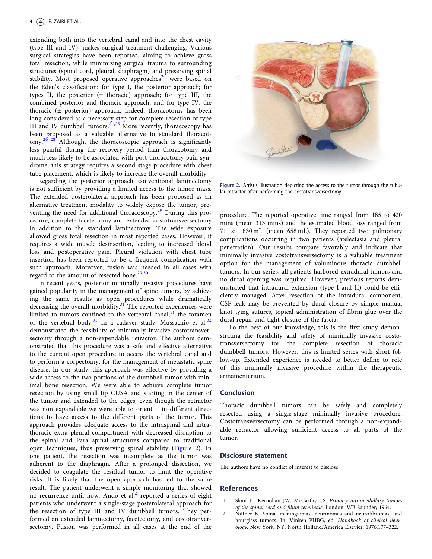<span id="page-4-0"></span>extending both into the vertebral canal and into the chest cavity (type III and IV), makes surgical treatment challenging. Various surgical strategies have been reported, aiming to achieve gross total resection, while minimizing surgical trauma to surrounding structures (spinal cord, pleural, diaphragm) and preserving spinal stability. Most proposed operative approaches<sup>[24](#page-5-0)</sup> were based on the Eden's classification: for type I, the posterior approach; for types II, the posterior  $(\pm$  thoracic) approach; for type III, the combined posterior and thoracic approach; and for type IV, the thoracic (± posterior) approach. Indeed, thoracotomy has been long considered as a necessary step for complete resection of type III and IV dumbbell tumors.<sup>[24,25](#page-5-0)</sup> More recently, thoracoscopy has been proposed as a valuable alternative to standard thoracot- $\text{omy.}^{26-28}$  Although, the thoracoscopic approach is significantly less painful during the recovery period than thoracotomy and much less likely to be associated with post thoracotomy pain syndrome, this strategy requires a second stage procedure with chest tube placement, which is likely to increase the overall morbidity.

Regarding the posterior approach, conventional laminectomy is not sufficient by providing a limited access to the tumor mass. The extended posterolateral approach has been proposed as an alternative treatment modality to widely expose the tumor, pre-venting the need for additional thoracoscopy.<sup>[29](#page-5-0)</sup> During this procedure, complete facetectomy and extended costotransversectomy in addition to the standard laminectomy. The wide exposure allowed gross total resection in most reported cases. However, it requires a wide muscle desinsertion, leading to increased blood loss and postoperative pain. Pleural violation with chest tube insertion has been reported to be a frequent complication with such approach. Moreover, fusion was needed in all cases with regard to the amount of resected bone.<sup>[29,30](#page-5-0)</sup>

In recent years, posterior minimally invasive procedures have gained popularity in the management of spine tumors, by achieving the same results as open procedures while dramatically decreasing the overall morbidity. $31$  The reported experiences were limited to tumors confined to the vertebral canal, $^{11}$  $^{11}$  $^{11}$  the foramen or the vertebral body.<sup>[31](#page-5-0)</sup> In a cadaver study, Mussachio et al.<sup>[32](#page-5-0)</sup> demonstrated the feasibility of minimally invasive costotransversectomy through a non-expendable retractor. The authors demonstrated that this procedure was a safe and effective alternative to the current open procedure to access the vertebral canal and to perform a corpectomy, for the management of metastatic spine disease. In our study, this approach was effective by providing a wide access to the two portions of the dumbbell tumor with minimal bone resection. We were able to achieve complete tumor resection by using small tip CUSA and starting in the center of the tumor and extended to the edges, even though the retractor was non expandable we were able to orient it in different directions to have access to the different parts of the tumor. This approach provides adequate access to the intraspinal and intrathoracic extra pleural compartment with decreased disruption to the spinal and Para spinal structures compared to traditional open techniques, thus preserving spinal stability (Figure 2). In one patient, the resection was incomplete as the tumor was adherent to the diaphragm. After a prolonged dissection, we decided to coagulate the residual tumor to limit the operative risks. It is likely that the open approach has led to the same result. The patient underwent a simple monitoring that showed no recurrence until now. Ando et  $al^2$  reported a series of eight patients who underwent a single-stage posterolateral approach for the resection of type III and IV dumbbell tumors. They performed an extended laminectomy, facetectomy, and costotranversectomy. Fusion was performed in all cases at the end of the



Figure 2. Artist's illustration depicting the access to the tumor through the tubular retractor after performing the costotransversectomy.

procedure. The reported operative time ranged from 185 to 420 mins (mean 313 mins) and the estimated blood loss ranged from 71 to 1830 mL (mean 658 mL). They reported two pulmonary complications occurring in two patients (atelectasia and pleural penetration). Our results compare favorably and indicate that minimally invasive costotransversectomy is a valuable treatment option for the management of voluminous thoracic dumbbell tumors. In our series, all patients harbored extradural tumors and no dural opening was required. However, previous reports demonstrated that intradural extension (type I and II) could be efficiently managed. After resection of the intradural component, CSF leak may be prevented by dural closure by simple manual knot tying sutures, topical administration of fibrin glue over the dural repair and tight closure of the fascia.

To the best of our knowledge, this is the first study demonstrating the feasibility and safety of minimally invasive costotransversectomy for the complete resection of thoracic dumbbell tumors. However, this is limited series with short follow-up. Extended experience is needed to better define to role of this minimally invasive procedure within the therapeutic armamentarium.

#### Conclusion

Thoracic dumbbell tumors can be safely and completely resected using a single-stage minimally invasive procedure. Costotransversectomy can be performed through a non-expandable retractor allowing sufficient access to all parts of the tumor.

#### Disclosure statement

The authors have no conflict of interest to disclose.

# **References**

- Sloof JL, Kernohan JW, McCarthy CS. Primary intramedullary tumors of the spinal cord and filum terminale. London: WB Saunder; 1964.
- [2. N](#page-3-0)ittner K. Spinal meningiomas, neurinomas and neurofibromas, and hourglass tumors. In: Vinken PHBG, ed. Handbook of clinical neurology. New York, NY: North Holland/America Elsevier; 1976:177–322.